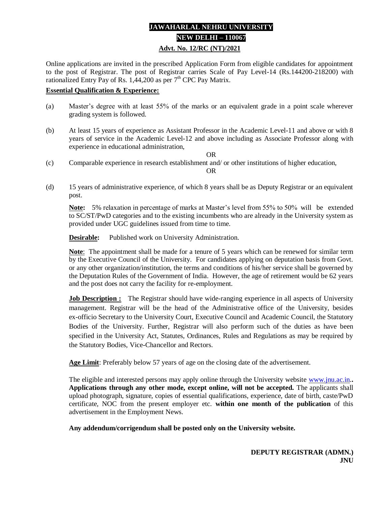# **JAWAHARLAL NEHRU UNIVERSITY NEW DELHI – 110067 Advt. No. 12/RC (NT)/2021**

Online applications are invited in the prescribed Application Form from eligible candidates for appointment to the post of Registrar. The post of Registrar carries Scale of Pay Level-14 (Rs.144200-218200) with rationalized Entry Pay of Rs.  $1,44,200$  as per  $7<sup>th</sup>$  CPC Pay Matrix.

#### **Essential Qualification & Experience:**

- (a) Master's degree with at least 55% of the marks or an equivalent grade in a point scale wherever grading system is followed.
- (b) At least 15 years of experience as Assistant Professor in the Academic Level-11 and above or with 8 years of service in the Academic Level-12 and above including as Associate Professor along with experience in educational administration,

OR

(c) Comparable experience in research establishment and/ or other institutions of higher education,

OR

(d) 15 years of administrative experience, of which 8 years shall be as Deputy Registrar or an equivalent post.

**Note:** 5% relaxation in percentage of marks at Master's level from 55% to 50% will be extended to SC/ST/PwD categories and to the existing incumbents who are already in the University system as provided under UGC guidelines issued from time to time.

**Desirable:** Published work on University Administration.

**Note**: The appointment shall be made for a tenure of 5 years which can be renewed for similar term by the Executive Council of the University. For candidates applying on deputation basis from Govt. or any other organization/institution, the terms and conditions of his/her service shall be governed by the Deputation Rules of the Government of India. However, the age of retirement would be 62 years and the post does not carry the facility for re-employment.

**Job Description :** The Registrar should have wide-ranging experience in all aspects of University management. Registrar will be the head of the Administrative office of the University, besides ex-officio Secretary to the University Court, Executive Council and Academic Council, the Statutory Bodies of the University. Further, Registrar will also perform such of the duties as have been specified in the University Act, Statutes, Ordinances, Rules and Regulations as may be required by the Statutory Bodies, Vice-Chancellor and Rectors.

**Age Limit**: Preferably below 57 years of age on the closing date of the advertisement.

The eligible and interested persons may apply online through the University website [www.jnu.ac.in.](http://www.jnu.ac.in/)**. Applications through any other mode, except online, will not be accepted.** The applicants shall upload photograph, signature, copies of essential qualifications, experience, date of birth, caste/PwD certificate, NOC from the present employer etc. **within one month of the publication** of this advertisement in the Employment News.

**Any addendum/corrigendum shall be posted only on the University website.**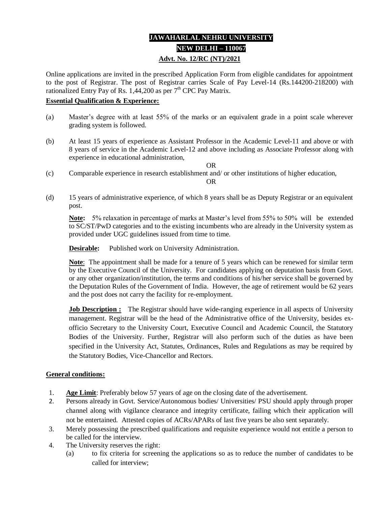# **JAWAHARLAL NEHRU UNIVERSITY NEW DELHI – 110067 Advt. No. 12/RC (NT)/2021**

Online applications are invited in the prescribed Application Form from eligible candidates for appointment to the post of Registrar. The post of Registrar carries Scale of Pay Level-14 (Rs.144200-218200) with rationalized Entry Pay of Rs.  $1,44,200$  as per  $7<sup>th</sup>$  CPC Pay Matrix.

#### **Essential Qualification & Experience:**

- (a) Master's degree with at least 55% of the marks or an equivalent grade in a point scale wherever grading system is followed.
- (b) At least 15 years of experience as Assistant Professor in the Academic Level-11 and above or with 8 years of service in the Academic Level-12 and above including as Associate Professor along with experience in educational administration,
- (c) Comparable experience in research establishment and/ or other institutions of higher education, OR

(d) 15 years of administrative experience, of which 8 years shall be as Deputy Registrar or an equivalent post.

**Note:** 5% relaxation in percentage of marks at Master's level from 55% to 50% will be extended to SC/ST/PwD categories and to the existing incumbents who are already in the University system as provided under UGC guidelines issued from time to time.

OR

**Desirable:** Published work on University Administration.

**Note**: The appointment shall be made for a tenure of 5 years which can be renewed for similar term by the Executive Council of the University. For candidates applying on deputation basis from Govt. or any other organization/institution, the terms and conditions of his/her service shall be governed by the Deputation Rules of the Government of India. However, the age of retirement would be 62 years and the post does not carry the facility for re-employment.

**Job Description :** The Registrar should have wide-ranging experience in all aspects of University management. Registrar will be the head of the Administrative office of the University, besides exofficio Secretary to the University Court, Executive Council and Academic Council, the Statutory Bodies of the University. Further, Registrar will also perform such of the duties as have been specified in the University Act, Statutes, Ordinances, Rules and Regulations as may be required by the Statutory Bodies, Vice-Chancellor and Rectors.

### **General conditions:**

- 1. **Age Limit**: Preferably below 57 years of age on the closing date of the advertisement.
- 2. Persons already in Govt. Service/Autonomous bodies/ Universities/ PSU should apply through proper channel along with vigilance clearance and integrity certificate, failing which their application will not be entertained. Attested copies of ACRs/APARs of last five years be also sent separately.
- 3. Merely possessing the prescribed qualifications and requisite experience would not entitle a person to be called for the interview.
- 4. The University reserves the right:
	- (a) to fix criteria for screening the applications so as to reduce the number of candidates to be called for interview;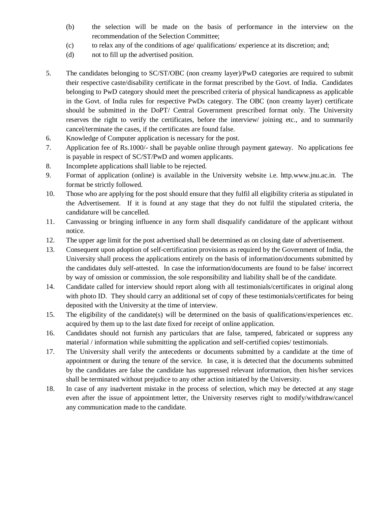- (b) the selection will be made on the basis of performance in the interview on the recommendation of the Selection Committee;
- (c) to relax any of the conditions of age/ qualifications/ experience at its discretion; and;
- (d) not to fill up the advertised position.
- 5. The candidates belonging to SC/ST/OBC (non creamy layer)/PwD categories are required to submit their respective caste/disability certificate in the format prescribed by the Govt. of India. Candidates belonging to PwD category should meet the prescribed criteria of physical handicapness as applicable in the Govt. of India rules for respective PwDs category. The OBC (non creamy layer) certificate should be submitted in the DoPT/ Central Government prescribed format only. The University reserves the right to verify the certificates, before the interview/ joining etc., and to summarily cancel/terminate the cases, if the certificates are found false.
- 6. Knowledge of Computer application is necessary for the post.
- 7. Application fee of Rs.1000/- shall be payable online through payment gateway. No applications fee is payable in respect of SC/ST/PwD and women applicants.
- 8. Incomplete applications shall liable to be rejected.
- 9. Format of application (online) is available in the University website i.e. http.www.jnu.ac.in. The format be strictly followed.
- 10. Those who are applying for the post should ensure that they fulfil all eligibility criteria as stipulated in the Advertisement. If it is found at any stage that they do not fulfil the stipulated criteria, the candidature will be cancelled.
- 11. Canvassing or bringing influence in any form shall disqualify candidature of the applicant without notice.
- 12. The upper age limit for the post advertised shall be determined as on closing date of advertisement.
- 13. Consequent upon adoption of self-certification provisions as required by the Government of India, the University shall process the applications entirely on the basis of information/documents submitted by the candidates duly self-attested. In case the information/documents are found to be false/ incorrect by way of omission or commission, the sole responsibility and liability shall be of the candidate.
- 14. Candidate called for interview should report along with all testimonials/certificates in original along with photo ID. They should carry an additional set of copy of these testimonials/certificates for being deposited with the University at the time of interview.
- 15. The eligibility of the candidate(s) will be determined on the basis of qualifications/experiences etc. acquired by them up to the last date fixed for receipt of online application.
- 16. Candidates should not furnish any particulars that are false, tampered, fabricated or suppress any material / information while submitting the application and self-certified copies/ testimonials.
- 17. The University shall verify the antecedents or documents submitted by a candidate at the time of appointment or during the tenure of the service. In case, it is detected that the documents submitted by the candidates are false the candidate has suppressed relevant information, then his/her services shall be terminated without prejudice to any other action initiated by the University.
- 18. In case of any inadvertent mistake in the process of selection, which may be detected at any stage even after the issue of appointment letter, the University reserves right to modify/withdraw/cancel any communication made to the candidate.